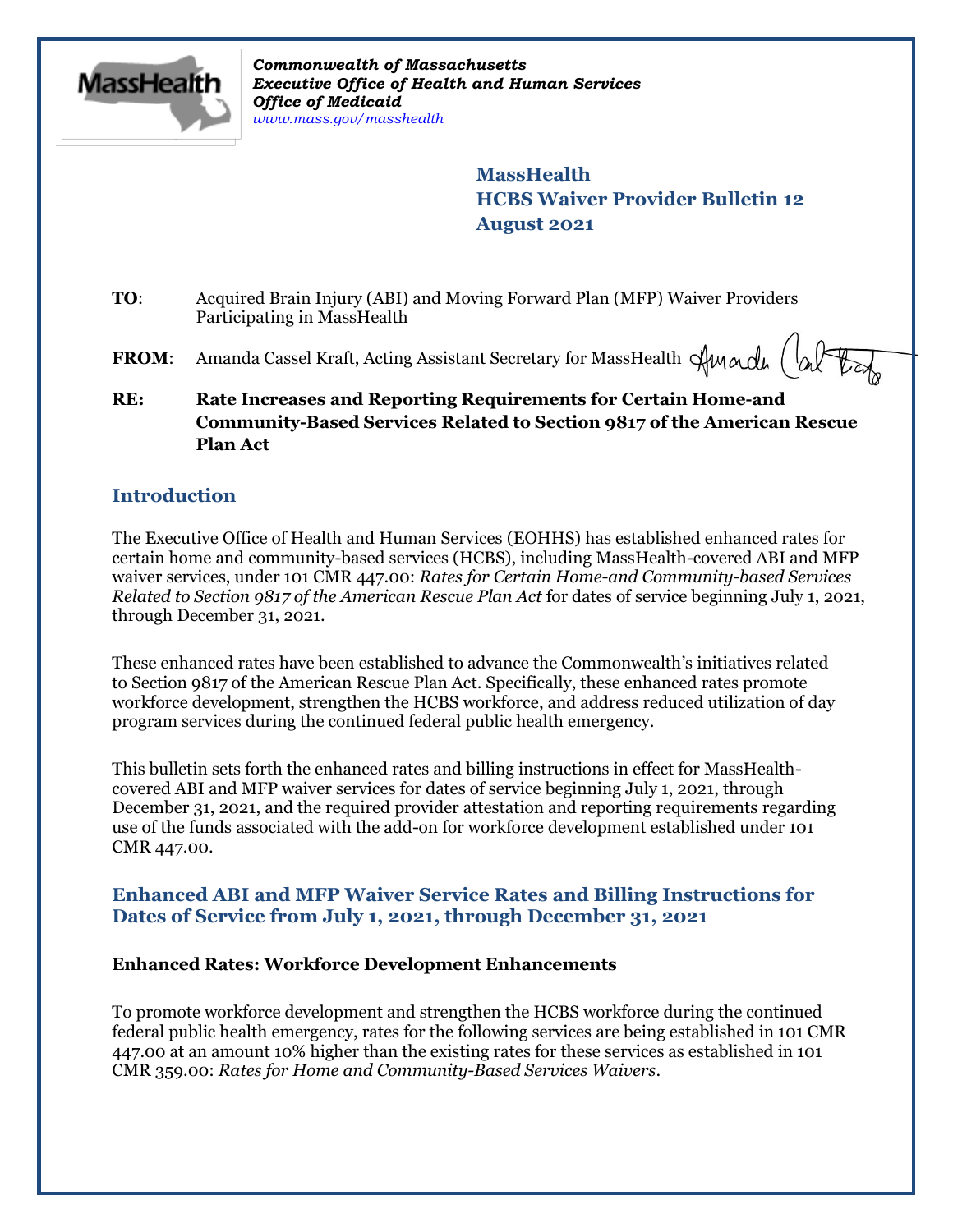

*Commonwealth of Massachusetts Executive Office of Health and Human Services Office of Medicaid [www.mass.gov/masshealth](http://www.mass.gov/masshealth)*

> **MassHealth HCBS Waiver Provider Bulletin 12 August 2021**

- **TO**: Acquired Brain Injury (ABI) and Moving Forward Plan (MFP) Waiver Providers Participating in MassHealth
- **FROM:** Amanda Cassel Kraft, Acting Assistant Secretary for MassHealth  $\lim_{\Delta x \to 0} \left( \bigwedge_{\alpha} \mathbb{F}$
- **RE: Rate Increases and Reporting Requirements for Certain Home-and Community-Based Services Related to Section 9817 of the American Rescue Plan Act**

### **Introduction**

The Executive Office of Health and Human Services (EOHHS) has established enhanced rates for certain home and community-based services (HCBS), including MassHealth-covered ABI and MFP waiver services, under 101 CMR 447.00: *Rates for Certain Home-and Community-based Services Related to Section 9817 of the American Rescue Plan Act* for dates of service beginning July 1, 2021, through December 31, 2021.

These enhanced rates have been established to advance the Commonwealth's initiatives related to Section 9817 of the American Rescue Plan Act. Specifically, these enhanced rates promote workforce development, strengthen the HCBS workforce, and address reduced utilization of day program services during the continued federal public health emergency.

This bulletin sets forth the enhanced rates and billing instructions in effect for MassHealthcovered ABI and MFP waiver services for dates of service beginning July 1, 2021, through December 31, 2021, and the required provider attestation and reporting requirements regarding use of the funds associated with the add-on for workforce development established under 101 CMR 447.00.

## **Enhanced ABI and MFP Waiver Service Rates and Billing Instructions for Dates of Service from July 1, 2021, through December 31, 2021**

#### **Enhanced Rates: Workforce Development Enhancements**

To promote workforce development and strengthen the HCBS workforce during the continued federal public health emergency, rates for the following services are being established in 101 CMR 447.00 at an amount 10% higher than the existing rates for these services as established in 101 CMR 359.00: *Rates for Home and Community-Based Services Waivers*.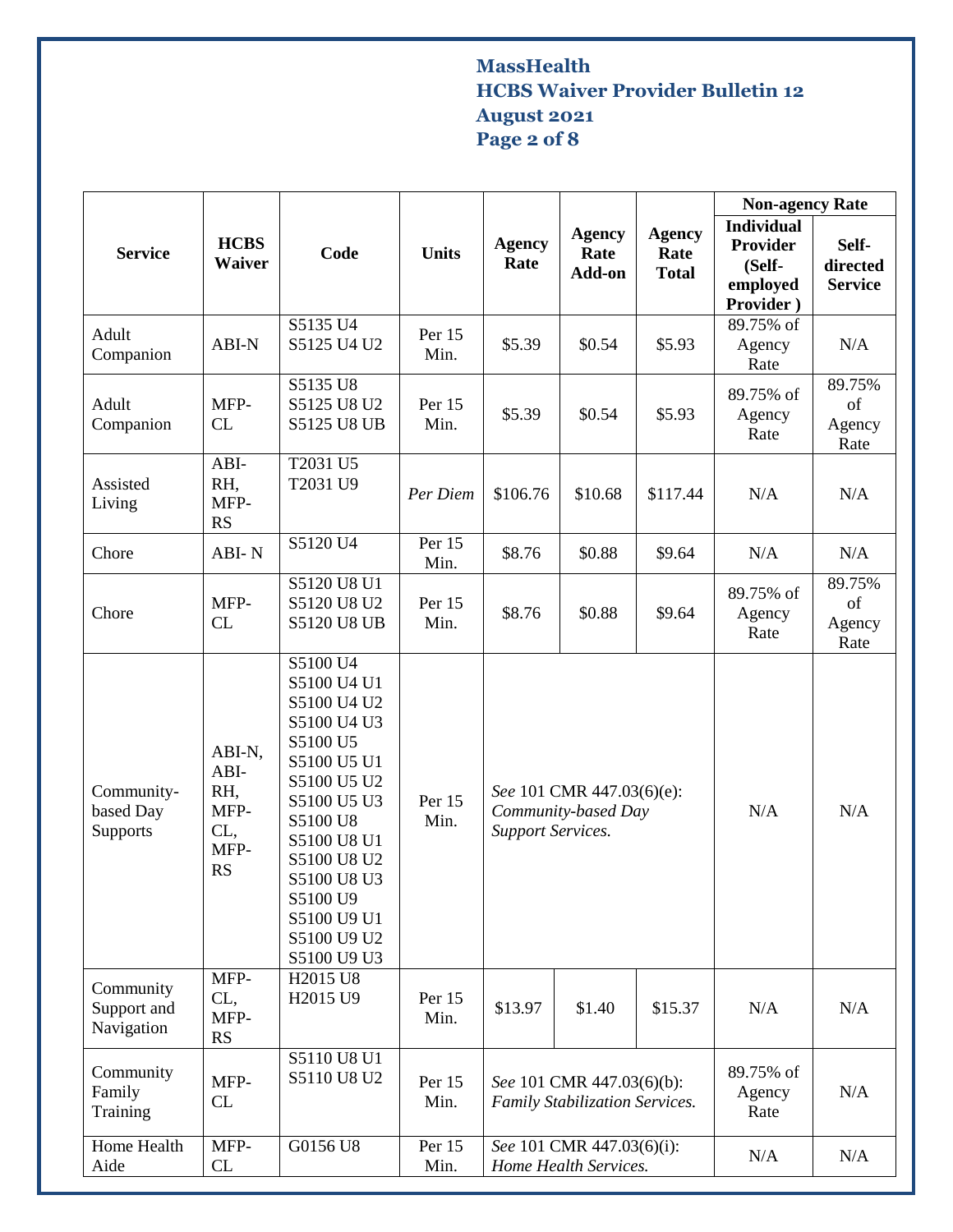# **MassHealth HCBS Waiver Provider Bulletin 12 August 2021 Page 2 of 8**

|                                        |                                                           |                                                                                                                                                                                                                                  |                |                                                                              |                                 |                                       | <b>Non-agency Rate</b>                                                  |                                     |
|----------------------------------------|-----------------------------------------------------------|----------------------------------------------------------------------------------------------------------------------------------------------------------------------------------------------------------------------------------|----------------|------------------------------------------------------------------------------|---------------------------------|---------------------------------------|-------------------------------------------------------------------------|-------------------------------------|
| <b>Service</b>                         | <b>HCBS</b><br><b>Waiver</b>                              | Code                                                                                                                                                                                                                             | <b>Units</b>   | <b>Agency</b><br>Rate                                                        | <b>Agency</b><br>Rate<br>Add-on | <b>Agency</b><br>Rate<br><b>Total</b> | <b>Individual</b><br><b>Provider</b><br>(Self-<br>employed<br>Provider) | Self-<br>directed<br><b>Service</b> |
| Adult<br>Companion                     | ABI-N                                                     | S5135 U4<br>S5125 U4 U2                                                                                                                                                                                                          | Per 15<br>Min. | \$5.39                                                                       | \$0.54                          | \$5.93                                | 89.75% of<br>Agency<br>Rate                                             | N/A                                 |
| Adult<br>Companion                     | MFP-<br>CL                                                | S5135 U8<br>S5125 U8 U2<br><b>S5125 U8 UB</b>                                                                                                                                                                                    | Per 15<br>Min. | \$5.39                                                                       | \$0.54                          | \$5.93                                | 89.75% of<br>Agency<br>Rate                                             | 89.75%<br>of<br>Agency<br>Rate      |
| Assisted<br>Living                     | ABI-<br>RH,<br>MFP-<br><b>RS</b>                          | T2031 U5<br>T2031 U9                                                                                                                                                                                                             | Per Diem       | \$106.76                                                                     | \$10.68                         | \$117.44                              | N/A                                                                     | N/A                                 |
| Chore                                  | ABI-N                                                     | S5120 U4                                                                                                                                                                                                                         | Per 15<br>Min. | \$8.76                                                                       | \$0.88                          | \$9.64                                | N/A                                                                     | N/A                                 |
| Chore                                  | MFP-<br>CL                                                | S5120 U8 U1<br>S5120 U8 U2<br><b>S5120 U8 UB</b>                                                                                                                                                                                 | Per 15<br>Min. | \$8.76                                                                       | \$0.88                          | \$9.64                                | 89.75% of<br>Agency<br>Rate                                             | 89.75%<br>of<br>Agency<br>Rate      |
| Community-<br>based Day<br>Supports    | ABI-N,<br>ABI-<br>RH,<br>MFP-<br>CL,<br>MFP-<br><b>RS</b> | S5100 U4<br>S5100 U4 U1<br>S5100 U4 U2<br>S5100 U4 U3<br>S5100 U5<br>S5100 U5 U1<br>S5100 U5 U2<br>S5100 U5 U3<br>S5100 U8<br>S5100 U8 U1<br>S5100 U8 U2<br>S5100 U8 U3<br>S5100 U9<br>S5100 U9 U1<br>S5100 U9 U2<br>S5100 U9 U3 | Per 15<br>Min. | See 101 CMR 447.03(6)(e):<br>Community-based Day<br><b>Support Services.</b> |                                 |                                       | N/A                                                                     | N/A                                 |
| Community<br>Support and<br>Navigation | MFP-<br>CL,<br>MFP-<br><b>RS</b>                          | H2015 U8<br>H2015 U9                                                                                                                                                                                                             | Per 15<br>Min. | \$13.97                                                                      | \$1.40                          | \$15.37                               | N/A                                                                     | N/A                                 |
| Community<br>Family<br>Training        | MFP-<br>CL                                                | S5110 U8 U1<br>S5110 U8 U2                                                                                                                                                                                                       | Per 15<br>Min. | See 101 CMR 447.03(6)(b):<br><b>Family Stabilization Services.</b>           |                                 |                                       | 89.75% of<br>Agency<br>Rate                                             | N/A                                 |
| Home Health<br>Aide                    | MFP-<br>CL                                                | G0156 U8                                                                                                                                                                                                                         | Per 15<br>Min. | See 101 CMR 447.03(6)(i):<br>Home Health Services.                           |                                 |                                       | N/A                                                                     | N/A                                 |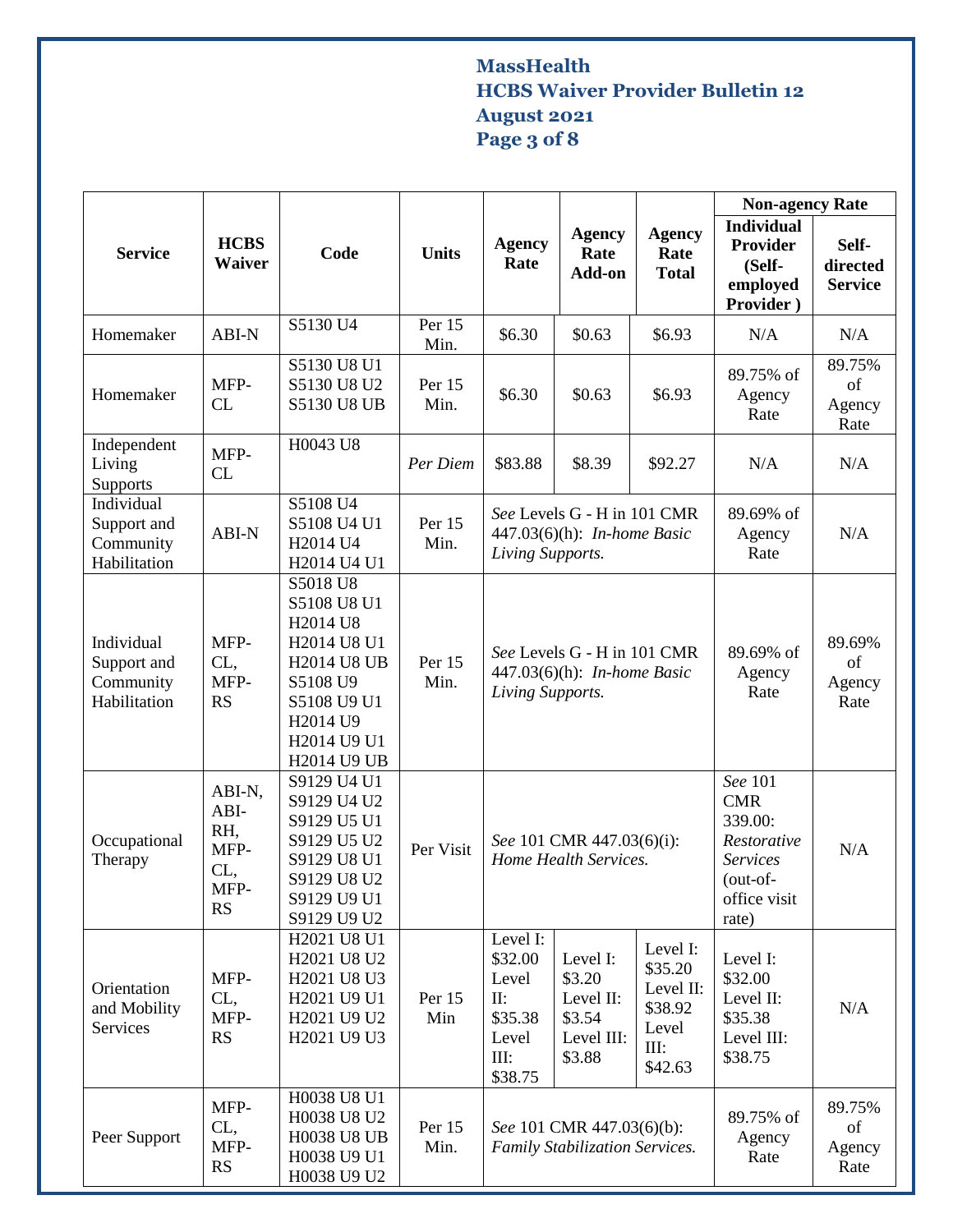# **MassHealth HCBS Waiver Provider Bulletin 12 August 2021 Page 3 of 8**

|                                                        |                                                           |                                                                                                                                                                       |                |                                                                                       |                                                                   |                                                                         | <b>Non-agency Rate</b>                                                                                  |                                     |
|--------------------------------------------------------|-----------------------------------------------------------|-----------------------------------------------------------------------------------------------------------------------------------------------------------------------|----------------|---------------------------------------------------------------------------------------|-------------------------------------------------------------------|-------------------------------------------------------------------------|---------------------------------------------------------------------------------------------------------|-------------------------------------|
| <b>Service</b>                                         | <b>HCBS</b><br>Waiver                                     | Code                                                                                                                                                                  | <b>Units</b>   | <b>Agency</b><br>Rate                                                                 | <b>Agency</b><br>Rate<br>Add-on                                   | <b>Agency</b><br>Rate<br><b>Total</b>                                   | <b>Individual</b><br>Provider<br>(Self-<br>employed<br>Provider)                                        | Self-<br>directed<br><b>Service</b> |
| Homemaker                                              | ABI-N                                                     | S5130 U4                                                                                                                                                              | Per 15<br>Min. | \$6.30                                                                                | \$0.63                                                            | \$6.93                                                                  | N/A                                                                                                     | N/A                                 |
| Homemaker                                              | MFP-<br>CL                                                | S5130 U8 U1<br>S5130 U8 U2<br><b>S5130 U8 UB</b>                                                                                                                      | Per 15<br>Min. | \$6.30                                                                                | \$0.63                                                            | \$6.93                                                                  | 89.75% of<br>Agency<br>Rate                                                                             | 89.75%<br>of<br>Agency<br>Rate      |
| Independent<br>Living<br>Supports                      | MFP-<br>CL                                                | H0043 U8                                                                                                                                                              | Per Diem       | \$83.88                                                                               | \$8.39                                                            | \$92.27                                                                 | N/A                                                                                                     | N/A                                 |
| Individual<br>Support and<br>Community<br>Habilitation | ABI-N                                                     | S5108 U4<br>S5108 U4 U1<br>H <sub>2014</sub> U <sub>4</sub><br>H2014 U4 U1                                                                                            | Per 15<br>Min. | See Levels G - H in 101 CMR<br>447.03(6)(h): <i>In-home Basic</i><br>Living Supports. |                                                                   |                                                                         | 89.69% of<br>Agency<br>Rate                                                                             | N/A                                 |
| Individual<br>Support and<br>Community<br>Habilitation | MFP-<br>CL,<br>MFP-<br><b>RS</b>                          | S5018 U8<br>S5108 U8 U1<br>H2014 U8<br>H2014 U8 U1<br><b>H2014 U8 UB</b><br>S5108 U9<br>S5108 U9 U1<br>H <sub>2014</sub> U <sub>9</sub><br>H2014 U9 U1<br>H2014 U9 UB | Per 15<br>Min. | See Levels G - H in 101 CMR<br>447.03(6)(h): <i>In-home Basic</i><br>Living Supports. |                                                                   |                                                                         | 89.69% of<br>Agency<br>Rate                                                                             | 89.69%<br>of<br>Agency<br>Rate      |
| Occupational<br>Therapy                                | ABI-N,<br>ABI-<br>RH,<br>MFP-<br>CL,<br>MFP-<br><b>RS</b> | S9129 U4 U1<br>S9129 U4 U2<br>S9129 U5 U1<br>S9129 U5 U2<br>S9129 U8 U1<br>S9129 U8 U2<br>S9129 U9 U1<br>S9129 U9 U2                                                  | Per Visit      | See 101 CMR 447.03(6)(i):<br>Home Health Services.                                    |                                                                   |                                                                         | See 101<br><b>CMR</b><br>339.00:<br>Restorative<br><b>Services</b><br>(out-of-<br>office visit<br>rate) | N/A                                 |
| Orientation<br>and Mobility<br>Services                | MFP-<br>CL,<br>MFP-<br><b>RS</b>                          | H2021 U8 U1<br>H2021 U8 U2<br>H2021 U8 U3<br>H2021 U9 U1<br>H2021 U9 U2<br>H2021 U9 U3                                                                                | Per 15<br>Min  | Level I:<br>\$32.00<br>Level<br>$\prod$ :<br>\$35.38<br>Level<br>III:<br>\$38.75      | Level I:<br>\$3.20<br>Level II:<br>\$3.54<br>Level III:<br>\$3.88 | Level I:<br>\$35.20<br>Level II:<br>\$38.92<br>Level<br>III:<br>\$42.63 | Level I:<br>\$32.00<br>Level II:<br>\$35.38<br>Level III:<br>\$38.75                                    | N/A                                 |
| Peer Support                                           | MFP-<br>CL,<br>MFP-<br><b>RS</b>                          | H0038 U8 U1<br>H0038 U8 U2<br><b>H0038 U8 UB</b><br>H0038 U9 U1<br>H0038 U9 U2                                                                                        | Per 15<br>Min. | See 101 CMR 447.03(6)(b):<br><b>Family Stabilization Services.</b>                    |                                                                   |                                                                         | 89.75% of<br>Agency<br>Rate                                                                             | 89.75%<br>of<br>Agency<br>Rate      |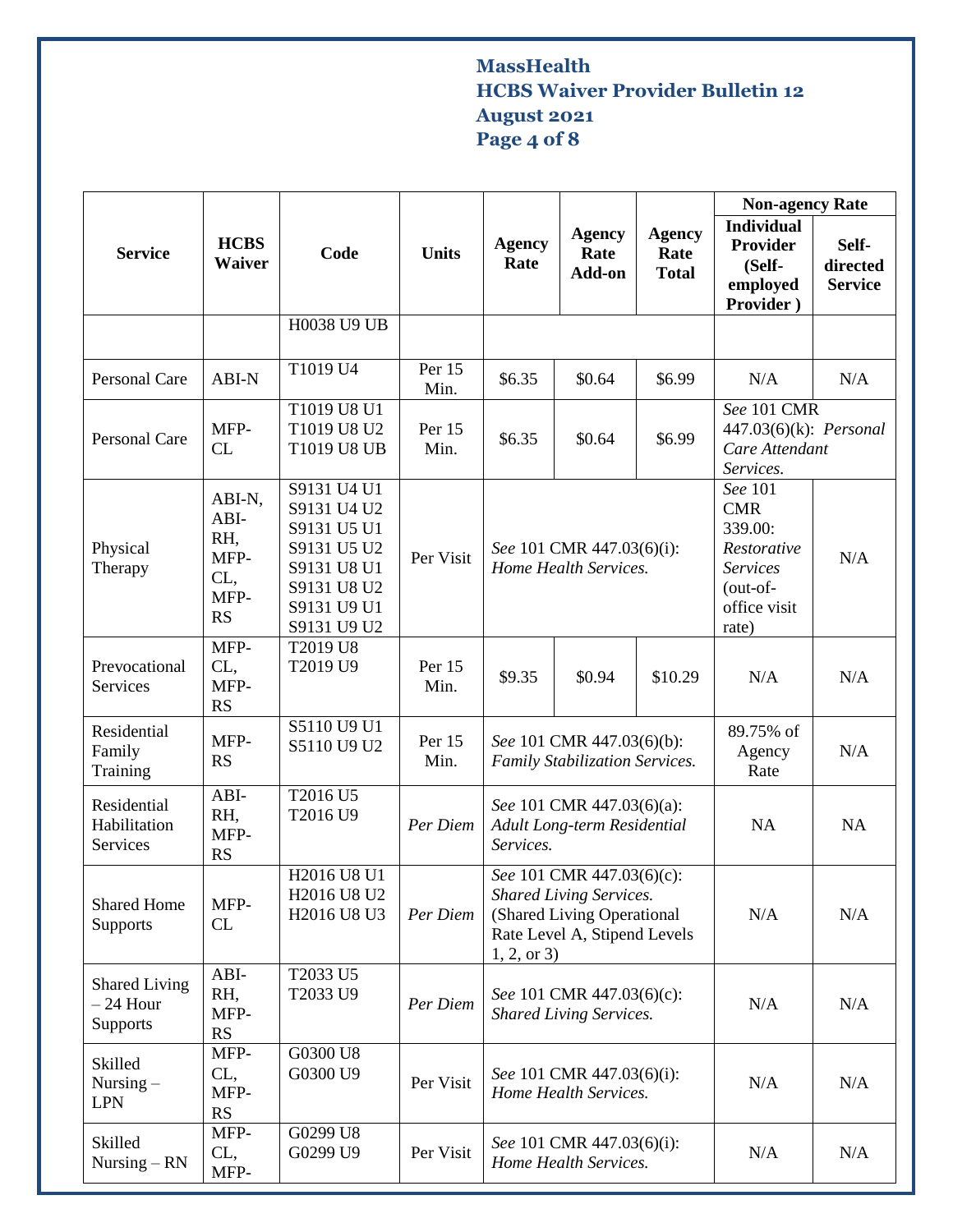# **MassHealth HCBS Waiver Provider Bulletin 12 August 2021 Page 4 of 8**

|                                                |                                                           |                                                                                                                      |                |                                                                                                                                         |                                                    |                                       | <b>Non-agency Rate</b>                                                                           |                                     |
|------------------------------------------------|-----------------------------------------------------------|----------------------------------------------------------------------------------------------------------------------|----------------|-----------------------------------------------------------------------------------------------------------------------------------------|----------------------------------------------------|---------------------------------------|--------------------------------------------------------------------------------------------------|-------------------------------------|
| <b>Service</b>                                 | <b>HCBS</b><br><b>Waiver</b>                              | Code                                                                                                                 | <b>Units</b>   | <b>Agency</b><br>Rate                                                                                                                   | <b>Agency</b><br>Rate<br>Add-on                    | <b>Agency</b><br>Rate<br><b>Total</b> | <b>Individual</b><br>Provider<br>(Self-<br>employed<br>Provider)                                 | Self-<br>directed<br><b>Service</b> |
|                                                |                                                           | H0038 U9 UB                                                                                                          |                |                                                                                                                                         |                                                    |                                       |                                                                                                  |                                     |
| <b>Personal Care</b>                           | ABI-N                                                     | T1019 U4                                                                                                             | Per 15<br>Min. | \$6.35                                                                                                                                  | \$0.64                                             | \$6.99                                | N/A                                                                                              | N/A                                 |
| Personal Care                                  | MFP-<br>CL                                                | T1019 U8 U1<br>T1019 U8 U2<br>T1019 U8 UB                                                                            | Per 15<br>Min. | \$6.35                                                                                                                                  | \$0.64                                             | \$6.99                                | See 101 CMR<br>447.03(6)(k): <i>Personal</i><br>Care Attendant<br>Services.                      |                                     |
| Physical<br>Therapy                            | ABI-N,<br>ABI-<br>RH,<br>MFP-<br>CL,<br>MFP-<br><b>RS</b> | S9131 U4 U1<br>S9131 U4 U2<br>S9131 U5 U1<br>S9131 U5 U2<br>S9131 U8 U1<br>S9131 U8 U2<br>S9131 U9 U1<br>S9131 U9 U2 | Per Visit      | See 101 CMR 447.03(6)(i):<br>Home Health Services.                                                                                      |                                                    |                                       | See 101<br><b>CMR</b><br>339.00:<br>Restorative<br>Services<br>(out-of-<br>office visit<br>rate) | N/A                                 |
| Prevocational<br>Services                      | MFP-<br>CL,<br>MFP-<br><b>RS</b>                          | T2019 U8<br>T2019 U9                                                                                                 | Per 15<br>Min. | \$9.35                                                                                                                                  | \$0.94                                             | \$10.29                               | N/A                                                                                              | N/A                                 |
| Residential<br>Family<br>Training              | MFP-<br><b>RS</b>                                         | S5110 U9 U1<br>S5110 U9 U2                                                                                           | Per 15<br>Min. | See 101 CMR 447.03(6)(b):<br>Family Stabilization Services.                                                                             |                                                    |                                       | 89.75% of<br>Agency<br>Rate                                                                      | N/A                                 |
| Residential<br>Habilitation<br>Services        | ABI-<br>RH,<br>MFP-<br>RS                                 | T2016 U5<br>T2016 U9                                                                                                 | Per Diem       | See 101 CMR 447.03(6)(a):<br>Adult Long-term Residential<br>Services.                                                                   |                                                    |                                       | NA                                                                                               | NA                                  |
| <b>Shared Home</b><br><b>Supports</b>          | MFP-<br>CL                                                | H2016 U8 U1<br>H2016 U8 U2<br>H2016 U8 U3                                                                            | Per Diem       | See 101 CMR 447.03(6)(c):<br><b>Shared Living Services.</b><br>(Shared Living Operational<br>Rate Level A, Stipend Levels<br>1, 2, or 3 |                                                    |                                       | N/A                                                                                              | N/A                                 |
| <b>Shared Living</b><br>$-24$ Hour<br>Supports | $ABI-$<br>RH,<br>MFP-<br><b>RS</b>                        | T2033 U5<br>T2033 U9                                                                                                 | Per Diem       | See 101 CMR 447.03(6)(c):<br><b>Shared Living Services.</b>                                                                             |                                                    |                                       | N/A                                                                                              | N/A                                 |
| Skilled<br>Nursing $-$<br><b>LPN</b>           | MFP-<br>CL,<br>MFP-<br><b>RS</b>                          | G0300 U8<br>G0300 U9                                                                                                 | Per Visit      | See 101 CMR 447.03(6)(i):<br>Home Health Services.                                                                                      |                                                    |                                       | N/A                                                                                              | N/A                                 |
| Skilled<br>Nursing $-RN$                       | MFP-<br>CL,<br>MFP-                                       | G0299 U8<br>G0299 U9                                                                                                 | Per Visit      |                                                                                                                                         | See 101 CMR 447.03(6)(i):<br>Home Health Services. |                                       | N/A                                                                                              | N/A                                 |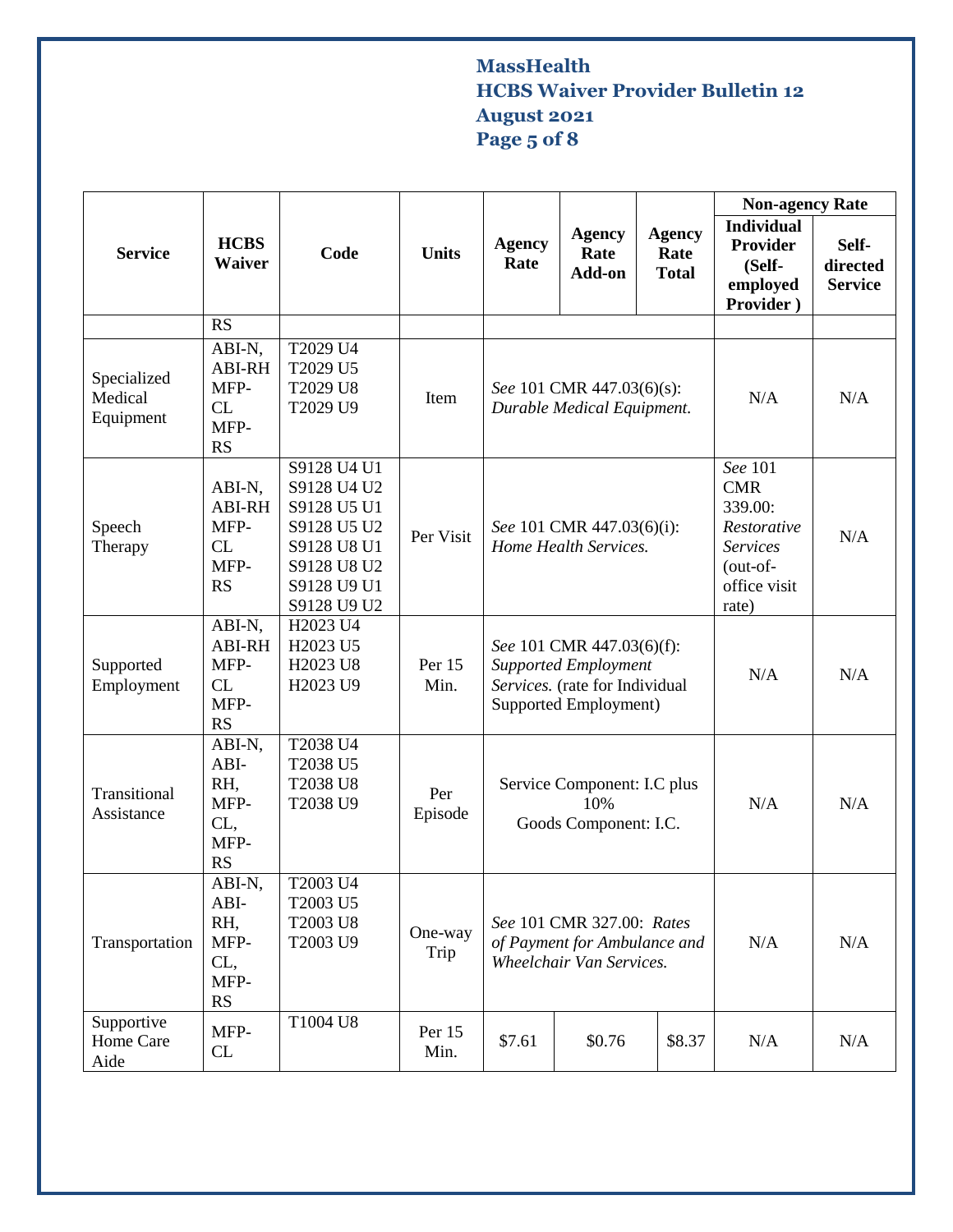# **MassHealth HCBS Waiver Provider Bulletin 12 August 2021 Page 5 of 8**

|                                     |                                                            |                                                                                                                      |                 |                                                                                                                     |                                                         |                                       | <b>Non-agency Rate</b>                                                                                  |                                     |
|-------------------------------------|------------------------------------------------------------|----------------------------------------------------------------------------------------------------------------------|-----------------|---------------------------------------------------------------------------------------------------------------------|---------------------------------------------------------|---------------------------------------|---------------------------------------------------------------------------------------------------------|-------------------------------------|
| <b>Service</b>                      | <b>HCBS</b><br><b>Waiver</b>                               | Code                                                                                                                 | <b>Units</b>    | <b>Agency</b><br>Rate                                                                                               | <b>Agency</b><br>Rate<br>Add-on                         | <b>Agency</b><br>Rate<br><b>Total</b> | <b>Individual</b><br><b>Provider</b><br>(Self-<br>employed<br>Provider)                                 | Self-<br>directed<br><b>Service</b> |
|                                     | <b>RS</b>                                                  |                                                                                                                      |                 |                                                                                                                     |                                                         |                                       |                                                                                                         |                                     |
| Specialized<br>Medical<br>Equipment | ABI-N,<br><b>ABI-RH</b><br>MFP-<br>CL<br>MFP-<br><b>RS</b> | T2029 U4<br>T2029 U5<br>T2029 U8<br>T2029 U9                                                                         | Item            |                                                                                                                     | See 101 CMR 447.03(6)(s):<br>Durable Medical Equipment. | N/A                                   | N/A                                                                                                     |                                     |
| Speech<br>Therapy                   | ABI-N,<br><b>ABI-RH</b><br>MFP-<br>CL<br>MFP-<br><b>RS</b> | S9128 U4 U1<br>S9128 U4 U2<br>S9128 U5 U1<br>S9128 U5 U2<br>S9128 U8 U1<br>S9128 U8 U2<br>S9128 U9 U1<br>S9128 U9 U2 | Per Visit       | See 101 CMR 447.03(6)(i):<br>Home Health Services.                                                                  |                                                         |                                       | See 101<br><b>CMR</b><br>339.00:<br>Restorative<br><b>Services</b><br>(out-of-<br>office visit<br>rate) | N/A                                 |
| Supported<br>Employment             | ABI-N,<br><b>ABI-RH</b><br>MFP-<br>CL<br>MFP-<br><b>RS</b> | H2023 U4<br>H2023 U5<br>H2023 U8<br>H2023 U9                                                                         | Per 15<br>Min.  | See 101 CMR 447.03(6)(f):<br><b>Supported Employment</b><br>Services. (rate for Individual<br>Supported Employment) |                                                         |                                       | N/A                                                                                                     | N/A                                 |
| Transitional<br>Assistance          | ABI-N,<br>ABI-<br>RH,<br>MFP-<br>CL,<br>MFP-<br><b>RS</b>  | T2038 U4<br>T2038 U5<br>T2038 U8<br>T2038 U9                                                                         | Per<br>Episode  | Service Component: I.C plus<br>10%<br>Goods Component: I.C.                                                         |                                                         |                                       | N/A                                                                                                     | N/A                                 |
| Transportation                      | ABI-N,<br>ABI-<br>RH,<br>MFP-<br>CL,<br>MFP-<br>RS         | T2003 U4<br>T2003 U5<br>T2003 U8<br>T2003 U9                                                                         | One-way<br>Trip | See 101 CMR 327.00: Rates<br>of Payment for Ambulance and<br>Wheelchair Van Services.                               |                                                         |                                       | N/A                                                                                                     | N/A                                 |
| Supportive<br>Home Care<br>Aide     | MFP-<br>CL                                                 | T1004 U8                                                                                                             | Per 15<br>Min.  | \$7.61                                                                                                              | \$0.76                                                  | \$8.37                                | N/A                                                                                                     | N/A                                 |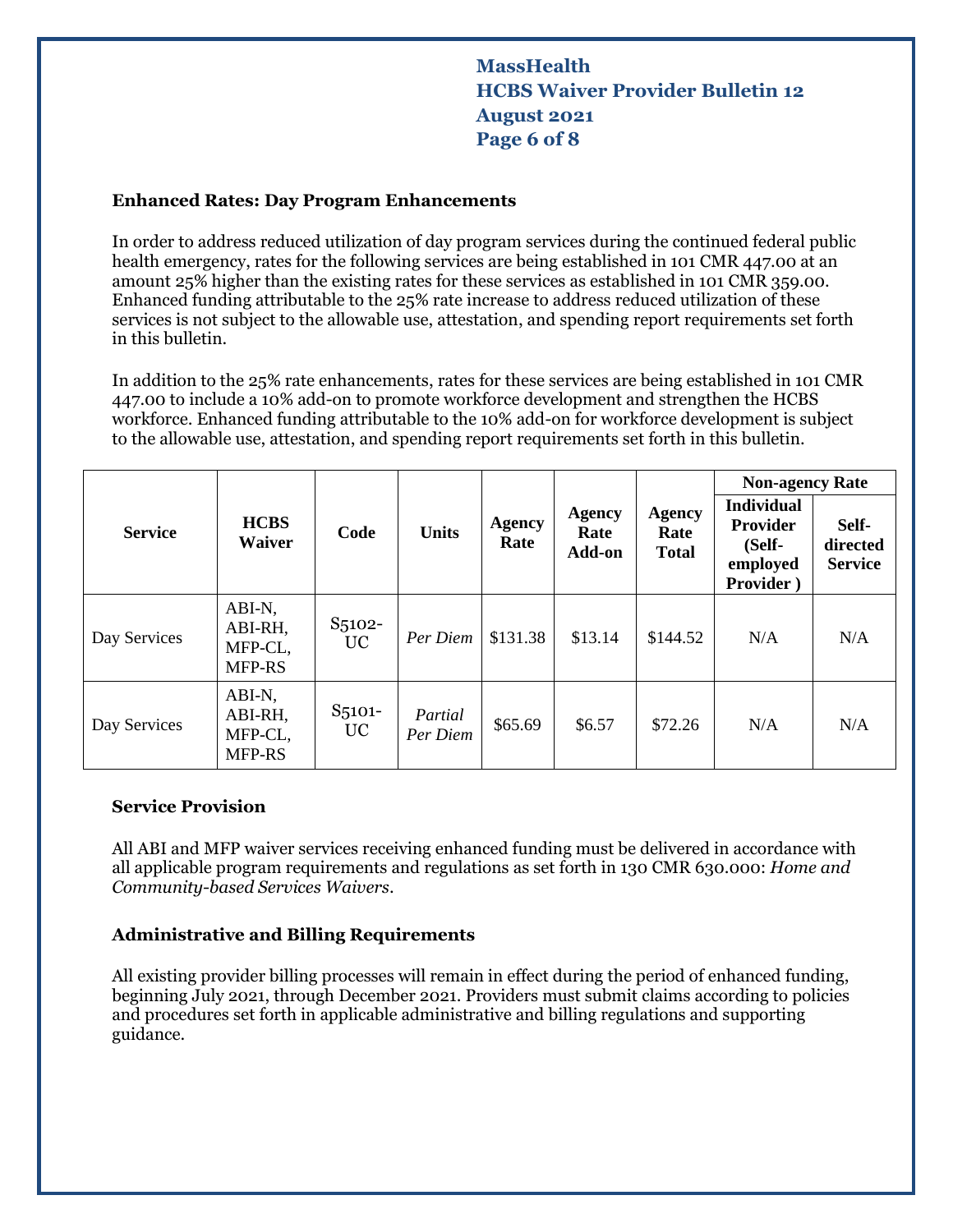## **MassHealth HCBS Waiver Provider Bulletin 12 August 2021 Page 6 of 8**

#### **Enhanced Rates: Day Program Enhancements**

In order to address reduced utilization of day program services during the continued federal public health emergency, rates for the following services are being established in 101 CMR 447.00 at an amount 25% higher than the existing rates for these services as established in 101 CMR 359.00. Enhanced funding attributable to the 25% rate increase to address reduced utilization of these services is not subject to the allowable use, attestation, and spending report requirements set forth in this bulletin.

In addition to the 25% rate enhancements, rates for these services are being established in 101 CMR 447.00 to include a 10% add-on to promote workforce development and strengthen the HCBS workforce. Enhanced funding attributable to the 10% add-on for workforce development is subject to the allowable use, attestation, and spending report requirements set forth in this bulletin.

|                |                                               | Code                             | <b>Units</b>        | <b>Agency</b><br>Rate | Agency<br>Rate<br>Add-on | <b>Agency</b><br>Rate<br><b>Total</b> | <b>Non-agency Rate</b>                                                  |                                     |
|----------------|-----------------------------------------------|----------------------------------|---------------------|-----------------------|--------------------------|---------------------------------------|-------------------------------------------------------------------------|-------------------------------------|
| <b>Service</b> | <b>HCBS</b><br><b>Waiver</b>                  |                                  |                     |                       |                          |                                       | <b>Individual</b><br><b>Provider</b><br>(Self-<br>employed<br>Provider) | Self-<br>directed<br><b>Service</b> |
| Day Services   | ABI-N,<br>ABI-RH,<br>MFP-CL,<br><b>MFP-RS</b> | S <sub>5</sub> 102-<br><b>UC</b> | Per Diem            | \$131.38              | \$13.14                  | \$144.52                              | N/A                                                                     | N/A                                 |
| Day Services   | ABI-N,<br>ABI-RH,<br>MFP-CL,<br><b>MFP-RS</b> | S <sub>5101</sub> -<br><b>UC</b> | Partial<br>Per Diem | \$65.69               | \$6.57                   | \$72.26                               | N/A                                                                     | N/A                                 |

#### **Service Provision**

All ABI and MFP waiver services receiving enhanced funding must be delivered in accordance with all applicable program requirements and regulations as set forth in 130 CMR 630.000: *Home and Community-based Services Waivers*.

#### **Administrative and Billing Requirements**

All existing provider billing processes will remain in effect during the period of enhanced funding, beginning July 2021, through December 2021. Providers must submit claims according to policies and procedures set forth in applicable administrative and billing regulations and supporting guidance.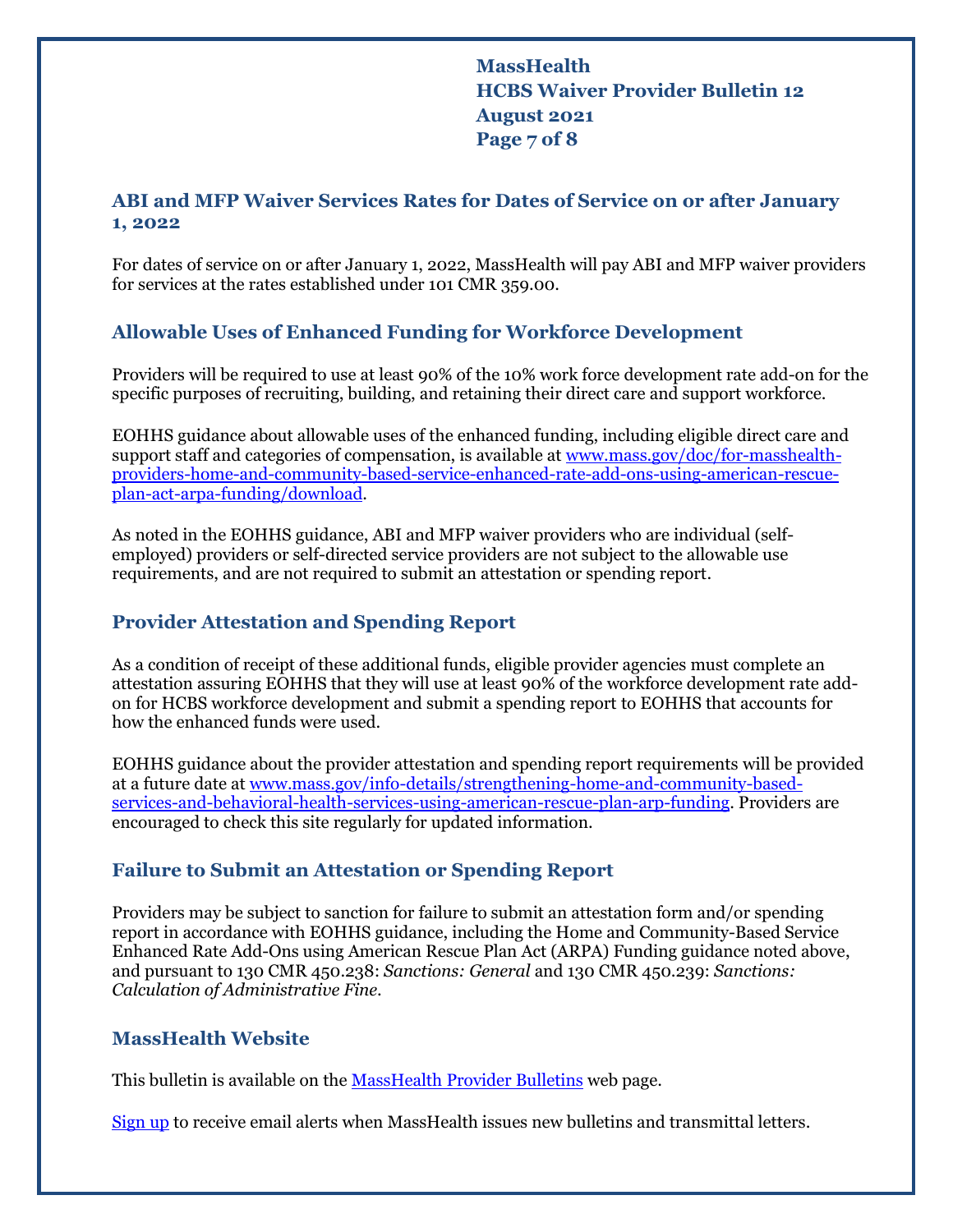**MassHealth HCBS Waiver Provider Bulletin 12 August 2021 Page 7 of 8**

## **ABI and MFP Waiver Services Rates for Dates of Service on or after January 1, 2022**

For dates of service on or after January 1, 2022, MassHealth will pay ABI and MFP waiver providers for services at the rates established under 101 CMR 359.00.

## **Allowable Uses of Enhanced Funding for Workforce Development**

Providers will be required to use at least 90% of the 10% work force development rate add-on for the specific purposes of recruiting, building, and retaining their direct care and support workforce.

EOHHS guidance about allowable uses of the enhanced funding, including eligible direct care and support staff and categories of compensation, is available at [www.mass.gov/doc/for-masshealth](http://www.mass.gov/doc/for-masshealth-providers-home-and-community-based-service-enhanced-rate-add-ons-using-american-rescue-plan-act-arpa-funding/download)[providers-home-and-community-based-service-enhanced-rate-add-ons-using-american-rescue](http://www.mass.gov/doc/for-masshealth-providers-home-and-community-based-service-enhanced-rate-add-ons-using-american-rescue-plan-act-arpa-funding/download)[plan-act-arpa-funding/download.](http://www.mass.gov/doc/for-masshealth-providers-home-and-community-based-service-enhanced-rate-add-ons-using-american-rescue-plan-act-arpa-funding/download)

As noted in the EOHHS guidance, ABI and MFP waiver providers who are individual (selfemployed) providers or self-directed service providers are not subject to the allowable use requirements, and are not required to submit an attestation or spending report.

## **Provider Attestation and Spending Report**

As a condition of receipt of these additional funds, eligible provider agencies must complete an attestation assuring EOHHS that they will use at least 90% of the workforce development rate addon for HCBS workforce development and submit a spending report to EOHHS that accounts for how the enhanced funds were used.

EOHHS guidance about the provider attestation and spending report requirements will be provided at a future date at [www.mass.gov/info-details/strengthening-home-and-community-based](http://www.mass.gov/info-details/strengthening-home-and-community-based-services-and-behavioral-health-services-using-american-rescue-plan-arp-funding)[services-and-behavioral-health-services-using-american-rescue-plan-arp-funding.](http://www.mass.gov/info-details/strengthening-home-and-community-based-services-and-behavioral-health-services-using-american-rescue-plan-arp-funding) Providers are encouraged to check this site regularly for updated information.

## **Failure to Submit an Attestation or Spending Report**

Providers may be subject to sanction for failure to submit an attestation form and/or spending report in accordance with EOHHS guidance, including the Home and Community-Based Service Enhanced Rate Add-Ons using American Rescue Plan Act (ARPA) Funding guidance noted above, and pursuant to 130 CMR 450.238: *Sanctions: General* and 130 CMR 450.239: *Sanctions: Calculation of Administrative Fine*.

## **MassHealth Website**

This bulletin is available on th[e MassHealth Provider Bulletins](http://www.mass.gov/masshealth-provider-bulletins) web page.

[Sign up](https://www.mass.gov/forms/email-notifications-for-provider-bulletins-and-transmittal-letters) to receive email alerts when MassHealth issues new bulletins and transmittal letters.